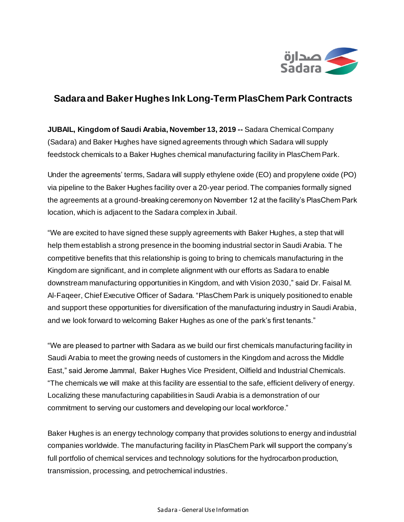

## **Sadara and Baker Hughes Ink Long-Term PlasChem Park Contracts**

**JUBAIL, Kingdom of Saudi Arabia, November 13, 2019 --** Sadara Chemical Company (Sadara) and Baker Hughes have signed agreements through which Sadara will supply feedstock chemicals to a Baker Hughes chemical manufacturing facility in PlasChem Park.

Under the agreements' terms, Sadara will supply ethylene oxide (EO) and propylene oxide (PO) via pipeline to the Baker Hughes facility over a 20-year period. The companies formally signed the agreements at a ground-breaking ceremony on November 12 at the facility's PlasChem Park location, which is adjacent to the Sadara complex in Jubail.

"We are excited to have signed these supply agreements with Baker Hughes, a step that will help them establish a strong presence in the booming industrial sector in Saudi Arabia. The competitive benefits that this relationship is going to bring to chemicals manufacturing in the Kingdom are significant, and in complete alignment with our efforts as Sadara to enable downstream manufacturing opportunities in Kingdom, and with Vision 2030," said Dr. Faisal M. Al-Faqeer, Chief Executive Officer of Sadara. "PlasChem Park is uniquely positioned to enable and support these opportunities for diversification of the manufacturing industry in Saudi Arabia, and we look forward to welcoming Baker Hughes as one of the park's first tenants."

"We are pleased to partner with Sadara as we build our first chemicals manufacturing facility in Saudi Arabia to meet the growing needs of customers in the Kingdom and across the Middle East," said Jerome Jammal, Baker Hughes Vice President, Oilfield and Industrial Chemicals. "The chemicals we will make at this facility are essential to the safe, efficient delivery of energy. Localizing these manufacturing capabilities in Saudi Arabia is a demonstration of our commitment to serving our customers and developing our local workforce."

Baker Hughes is an energy technology company that provides solutions to energy and industrial companies worldwide. The manufacturing facility in PlasChem Park will support the company's full portfolio of chemical services and technology solutions for the hydrocarbon production, transmission, processing, and petrochemical industries.